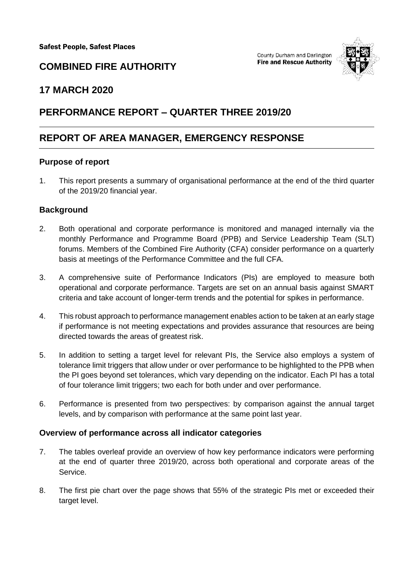

# **COMBINED FIRE AUTHORITY**

# **17 MARCH 2020**

# **PERFORMANCE REPORT – QUARTER THREE 2019/20**

# **REPORT OF AREA MANAGER, EMERGENCY RESPONSE**

#### **Purpose of report**

1. This report presents a summary of organisational performance at the end of the third quarter of the 2019/20 financial year.

# **Background**

- 2. Both operational and corporate performance is monitored and managed internally via the monthly Performance and Programme Board (PPB) and Service Leadership Team (SLT) forums. Members of the Combined Fire Authority (CFA) consider performance on a quarterly basis at meetings of the Performance Committee and the full CFA.
- 3. A comprehensive suite of Performance Indicators (PIs) are employed to measure both operational and corporate performance. Targets are set on an annual basis against SMART criteria and take account of longer-term trends and the potential for spikes in performance.
- 4. This robust approach to performance management enables action to be taken at an early stage if performance is not meeting expectations and provides assurance that resources are being directed towards the areas of greatest risk.
- 5. In addition to setting a target level for relevant PIs, the Service also employs a system of tolerance limit triggers that allow under or over performance to be highlighted to the PPB when the PI goes beyond set tolerances, which vary depending on the indicator. Each PI has a total of four tolerance limit triggers; two each for both under and over performance.
- 6. Performance is presented from two perspectives: by comparison against the annual target levels, and by comparison with performance at the same point last year.

# **Overview of performance across all indicator categories**

- 7. The tables overleaf provide an overview of how key performance indicators were performing at the end of quarter three 2019/20, across both operational and corporate areas of the Service.
- 8. The first pie chart over the page shows that 55% of the strategic PIs met or exceeded their target level.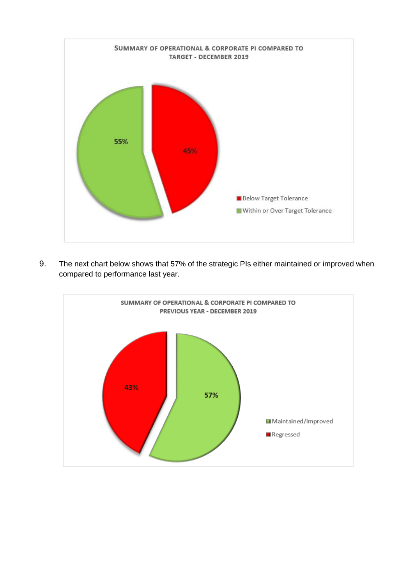

9. The next chart below shows that 57% of the strategic PIs either maintained or improved when compared to performance last year.

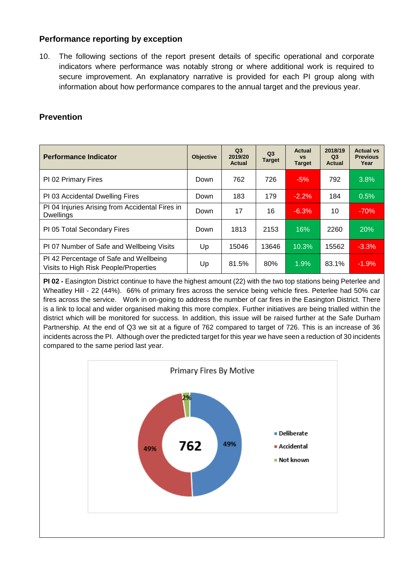# **Performance reporting by exception**

10. The following sections of the report present details of specific operational and corporate indicators where performance was notably strong or where additional work is required to secure improvement. An explanatory narrative is provided for each PI group along with information about how performance compares to the annual target and the previous year.

#### **Prevention**

| <b>Performance Indicator</b>                                                    | <b>Objective</b> | Q <sub>3</sub><br>2019/20<br>Actual | Q <sub>3</sub><br><b>Target</b> | Actual<br><b>VS</b><br><b>Target</b> | 2018/19<br>Q <sub>3</sub><br>Actual | <b>Actual vs</b><br><b>Previous</b><br>Year |
|---------------------------------------------------------------------------------|------------------|-------------------------------------|---------------------------------|--------------------------------------|-------------------------------------|---------------------------------------------|
| PI 02 Primary Fires                                                             | Down             | 762                                 | 726                             | $-5%$                                | 792                                 | 3.8%                                        |
| PI 03 Accidental Dwelling Fires                                                 | Down             | 183                                 | 179                             | $-2.2%$                              | 184                                 | 0.5%                                        |
| PI 04 Injuries Arising from Accidental Fires in<br><b>Dwellings</b>             | Down             | 17                                  | 16                              | $-6.3%$                              | 10                                  | $-70%$                                      |
| PI 05 Total Secondary Fires                                                     | Down             | 1813                                | 2153                            | 16%                                  | 2260                                | 20%                                         |
| PI 07 Number of Safe and Wellbeing Visits                                       | Up               | 15046                               | 13646                           | 10.3%                                | 15562                               | $-3.3%$                                     |
| PI 42 Percentage of Safe and Wellbeing<br>Visits to High Risk People/Properties | Up               | 81.5%                               | 80%                             | 1.9%                                 | 83.1%                               | $-1.9%$                                     |

**PI 02 -** Easington District continue to have the highest amount (22) with the two top stations being Peterlee and Wheatley Hill - 22 (44%). 66% of primary fires across the service being vehicle fires. Peterlee had 50% car fires across the service. Work in on-going to address the number of car fires in the Easington District. There is a link to local and wider organised making this more complex. Further initiatives are being trialled within the district which will be monitored for success. In addition, this issue will be raised further at the Safe Durham Partnership. At the end of Q3 we sit at a figure of 762 compared to target of 726. This is an increase of 36 incidents across the PI. Although over the predicted target for this year we have seen a reduction of 30 incidents compared to the same period last year.

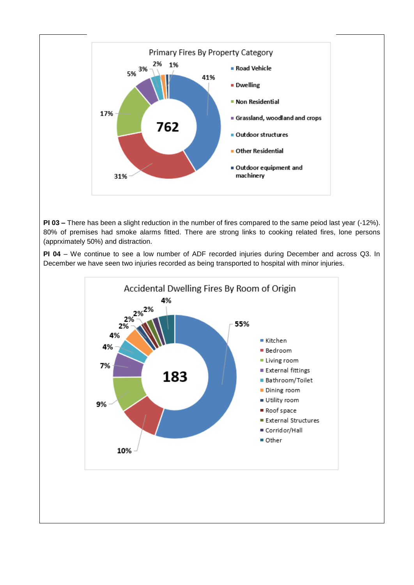

**PI 03 –** There has been a slight reduction in the number of fires compared to the same peiod last year (-12%). 80% of premises had smoke alarms fitted. There are strong links to cooking related fires, lone persons (apprximately 50%) and distraction.

**PI 04** – We continue to see a low number of ADF recorded injuries during December and across Q3. In December we have seen two injuries recorded as being transported to hospital with minor injuries.

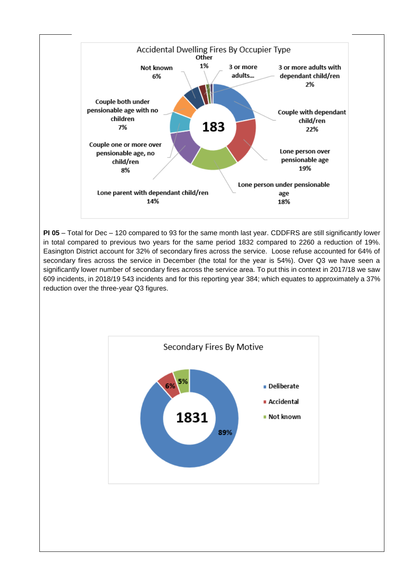

**PI 05** – Total for Dec – 120 compared to 93 for the same month last year. CDDFRS are still significantly lower in total compared to previous two years for the same period 1832 compared to 2260 a reduction of 19%. Easington District account for 32% of secondary fires across the service. Loose refuse accounted for 64% of secondary fires across the service in December (the total for the year is 54%). Over Q3 we have seen a significantly lower number of secondary fires across the service area. To put this in context in 2017/18 we saw 609 incidents, in 2018/19 543 incidents and for this reporting year 384; which equates to approximately a 37% reduction over the three-year Q3 figures.

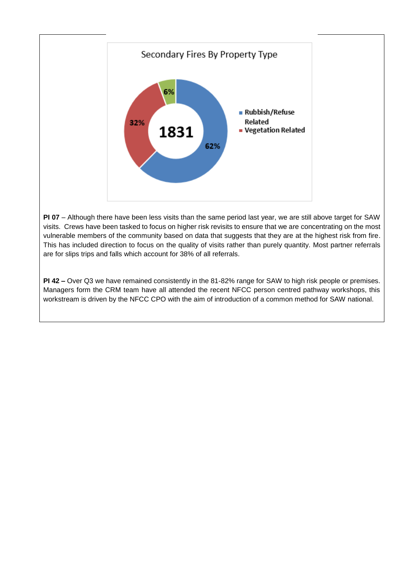

**PI 07** – Although there have been less visits than the same period last year, we are still above target for SAW visits. Crews have been tasked to focus on higher risk revisits to ensure that we are concentrating on the most vulnerable members of the community based on data that suggests that they are at the highest risk from fire. This has included direction to focus on the quality of visits rather than purely quantity. Most partner referrals are for slips trips and falls which account for 38% of all referrals.

**PI 42 –** Over Q3 we have remained consistently in the 81-82% range for SAW to high risk people or premises. Managers form the CRM team have all attended the recent NFCC person centred pathway workshops, this workstream is driven by the NFCC CPO with the aim of introduction of a common method for SAW national.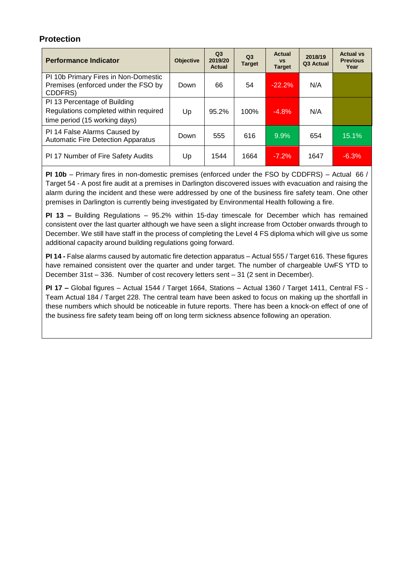# **Protection**

| <b>Performance Indicator</b>                                                                           | <b>Objective</b> | Q <sub>3</sub><br>2019/20<br>Actual | Q <sub>3</sub><br><b>Target</b> | <b>Actual</b><br><b>VS</b><br><b>Target</b> | 2018/19<br>Q3 Actual | <b>Actual vs</b><br><b>Previous</b><br>Year |
|--------------------------------------------------------------------------------------------------------|------------------|-------------------------------------|---------------------------------|---------------------------------------------|----------------------|---------------------------------------------|
| PI 10b Primary Fires in Non-Domestic<br>Premises (enforced under the FSO by<br>CDDFRS)                 | Down             | 66                                  | 54                              | $-22.2%$                                    | N/A                  |                                             |
| PI 13 Percentage of Building<br>Regulations completed within required<br>time period (15 working days) | Up               | 95.2%                               | 100%                            | $-4.8%$                                     | N/A                  |                                             |
| PI 14 False Alarms Caused by<br><b>Automatic Fire Detection Apparatus</b>                              | Down             | 555                                 | 616                             | 9.9%                                        | 654                  | 15.1%                                       |
| PI 17 Number of Fire Safety Audits                                                                     | Up               | 1544                                | 1664                            | $-7.2%$                                     | 1647                 | $-6.3%$                                     |

**PI 10b** – Primary fires in non-domestic premises (enforced under the FSO by CDDFRS) – Actual 66 / Target 54 - A post fire audit at a premises in Darlington discovered issues with evacuation and raising the alarm during the incident and these were addressed by one of the business fire safety team. One other premises in Darlington is currently being investigated by Environmental Health following a fire.

**PI 13 –** Building Regulations – 95.2% within 15-day timescale for December which has remained consistent over the last quarter although we have seen a slight increase from October onwards through to December. We still have staff in the process of completing the Level 4 FS diploma which will give us some additional capacity around building regulations going forward.

**PI 14 -** False alarms caused by automatic fire detection apparatus – Actual 555 / Target 616. These figures have remained consistent over the quarter and under target. The number of chargeable UwFS YTD to December 31st – 336. Number of cost recovery letters sent – 31 (2 sent in December).

**PI 17 –** Global figures – Actual 1544 / Target 1664, Stations – Actual 1360 / Target 1411, Central FS - Team Actual 184 / Target 228. The central team have been asked to focus on making up the shortfall in these numbers which should be noticeable in future reports. There has been a knock-on effect of one of the business fire safety team being off on long term sickness absence following an operation.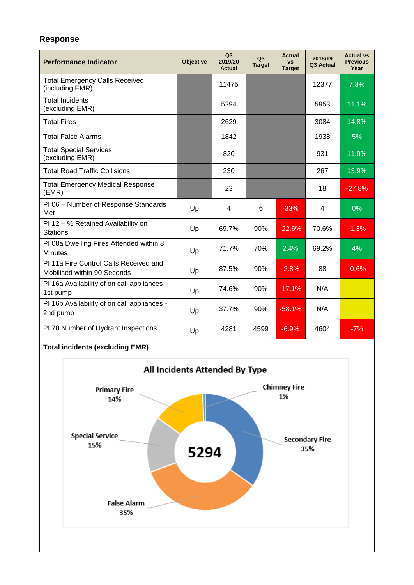## **Response**

| <b>Performance Indicator</b>                                          | <b>Objective</b> | Q3<br>2019/20<br>Actual | Q <sub>3</sub><br><b>Target</b> | <b>Actual</b><br><b>VS</b><br><b>Target</b> | 2018/19<br>Q3 Actual | <b>Actual vs</b><br><b>Previous</b><br>Year |
|-----------------------------------------------------------------------|------------------|-------------------------|---------------------------------|---------------------------------------------|----------------------|---------------------------------------------|
| <b>Total Emergency Calls Received</b><br>(including EMR)              |                  | 11475                   |                                 |                                             | 12377                | 7.3%                                        |
| <b>Total Incidents</b><br>(excluding EMR)                             |                  | 5294                    |                                 |                                             | 5953                 | 11.1%                                       |
| <b>Total Fires</b>                                                    |                  | 2629                    |                                 |                                             | 3084                 | 14.8%                                       |
| <b>Total False Alarms</b>                                             |                  | 1842                    |                                 |                                             | 1938                 | 5%                                          |
| <b>Total Special Services</b><br>(excluding EMR)                      |                  | 820                     |                                 |                                             | 931                  | 11.9%                                       |
| <b>Total Road Traffic Collisions</b>                                  |                  | 230                     |                                 |                                             | 267                  | 13.9%                                       |
| <b>Total Emergency Medical Response</b><br>(EMR)                      |                  | 23                      |                                 |                                             | 18                   | $-27.8%$                                    |
| PI 06 - Number of Response Standards<br>Met                           | Up               | 4                       | 6                               | $-33%$                                      | $\overline{4}$       | 0%                                          |
| PI 12 - % Retained Availability on<br><b>Stations</b>                 | Up               | 69.7%                   | 90%                             | $-22.6%$                                    | 70.6%                | $-1.3%$                                     |
| PI 08a Dwelling Fires Attended within 8<br><b>Minutes</b>             | Up               | 71.7%                   | 70%                             | 2.4%                                        | 69.2%                | 4%                                          |
| PI 11a Fire Control Calls Received and<br>Mobilised within 90 Seconds | Up               | 87.5%                   | 90%                             | $-2.8%$                                     | 88                   | $-0.6%$                                     |
| PI 16a Availability of on call appliances -<br>1st pump               | Up               | 74.6%                   | 90%                             | $-17.1%$                                    | N/A                  |                                             |
| PI 16b Availability of on call appliances -<br>2nd pump               | Up               | 37.7%                   | 90%                             | $-58.1%$                                    | N/A                  |                                             |
| PI 70 Number of Hydrant Inspections                                   | Up               | 4281                    | 4599                            | $-6.9%$                                     | 4604                 | $-7%$                                       |

# **Total incidents (excluding EMR)**

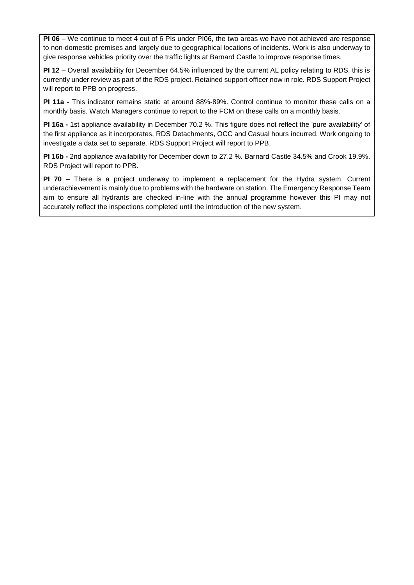**PI 06** – We continue to meet 4 out of 6 PIs under PI06, the two areas we have not achieved are response to non-domestic premises and largely due to geographical locations of incidents. Work is also underway to give response vehicles priority over the traffic lights at Barnard Castle to improve response times.

**PI 12** – Overall availability for December 64.5% influenced by the current AL policy relating to RDS, this is currently under review as part of the RDS project. Retained support officer now in role. RDS Support Project will report to PPB on progress.

**PI 11a -** This indicator remains static at around 88%-89%. Control continue to monitor these calls on a monthly basis. Watch Managers continue to report to the FCM on these calls on a monthly basis.

**PI 16a -** 1st appliance availability in December 70.2 %. This figure does not reflect the 'pure availability' of the first appliance as it incorporates, RDS Detachments, OCC and Casual hours incurred. Work ongoing to investigate a data set to separate. RDS Support Project will report to PPB.

**PI 16b -** 2nd appliance availability for December down to 27.2 %. Barnard Castle 34.5% and Crook 19.9%. RDS Project will report to PPB.

**PI 70** – There is a project underway to implement a replacement for the Hydra system. Current underachievement is mainly due to problems with the hardware on station. The Emergency Response Team aim to ensure all hydrants are checked in-line with the annual programme however this PI may not accurately reflect the inspections completed until the introduction of the new system.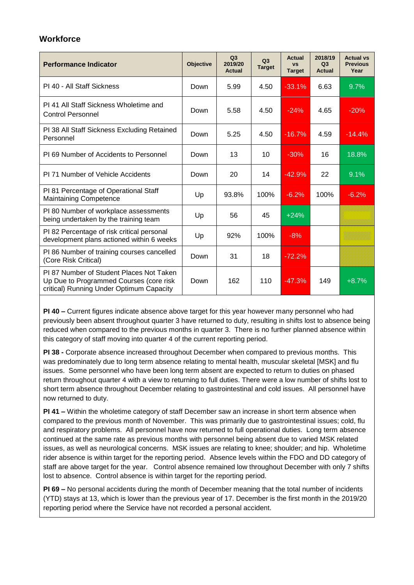### **Workforce**

| <b>Performance Indicator</b>                                                                                                    | <b>Objective</b> | Q <sub>3</sub><br>2019/20<br>Actual | Q3<br><b>Target</b> | Actual<br><b>VS</b><br><b>Target</b> | 2018/19<br>Q3<br><b>Actual</b> | <b>Actual vs</b><br><b>Previous</b><br>Year |
|---------------------------------------------------------------------------------------------------------------------------------|------------------|-------------------------------------|---------------------|--------------------------------------|--------------------------------|---------------------------------------------|
| PI 40 - All Staff Sickness                                                                                                      | Down             | 5.99                                | 4.50                | $-33.1%$                             | 6.63                           | 9.7%                                        |
| PI 41 All Staff Sickness Wholetime and<br><b>Control Personnel</b>                                                              | Down             | 5.58                                | 4.50                | $-24%$                               | 4.65                           | $-20%$                                      |
| PI 38 All Staff Sickness Excluding Retained<br>Personnel                                                                        | Down             | 5.25                                | 4.50                | $-16.7\%$                            | 4.59                           | $-14.4%$                                    |
| PI 69 Number of Accidents to Personnel                                                                                          | Down             | 13                                  | 10                  | $-30%$                               | 16                             | 18.8%                                       |
| PI 71 Number of Vehicle Accidents                                                                                               | Down             | 20                                  | 14                  | $-42.9%$                             | 22                             | 9.1%                                        |
| PI 81 Percentage of Operational Staff<br><b>Maintaining Competence</b>                                                          | Up               | 93.8%                               | 100%                | $-6.2%$                              | 100%                           | $-6.2%$                                     |
| PI 80 Number of workplace assessments<br>being undertaken by the training team                                                  | Up               | 56                                  | 45                  | $+24%$                               |                                |                                             |
| PI 82 Percentage of risk critical personal<br>development plans actioned within 6 weeks                                         | Up               | 92%                                 | 100%                | $-8%$                                |                                |                                             |
| PI 86 Number of training courses cancelled<br>(Core Risk Critical)                                                              | Down             | 31                                  | 18                  | $-72.2%$                             |                                |                                             |
| PI 87 Number of Student Places Not Taken<br>Up Due to Programmed Courses (core risk<br>critical) Running Under Optimum Capacity | Down             | 162                                 | 110                 | $-47.3%$                             | 149                            | $+8.7%$                                     |

**PI 40 –** Current figures indicate absence above target for this year however many personnel who had previously been absent throughout quarter 3 have returned to duty, resulting in shifts lost to absence being reduced when compared to the previous months in quarter 3. There is no further planned absence within this category of staff moving into quarter 4 of the current reporting period.

**PI 38 -** Corporate absence increased throughout December when compared to previous months. This was predominately due to long term absence relating to mental health, muscular skeletal [MSK] and flu issues. Some personnel who have been long term absent are expected to return to duties on phased return throughout quarter 4 with a view to returning to full duties. There were a low number of shifts lost to short term absence throughout December relating to gastrointestinal and cold issues. All personnel have now returned to duty.

**PI 41 –** Within the wholetime category of staff December saw an increase in short term absence when compared to the previous month of November. This was primarily due to gastrointestinal issues; cold, flu and respiratory problems. All personnel have now returned to full operational duties. Long term absence continued at the same rate as previous months with personnel being absent due to varied MSK related issues, as well as neurological concerns. MSK issues are relating to knee; shoulder; and hip. Wholetime rider absence is within target for the reporting period. Absence levels within the FDO and DD category of staff are above target for the year. Control absence remained low throughout December with only 7 shifts lost to absence. Control absence is within target for the reporting period.

**PI 69 –** No personal accidents during the month of December meaning that the total number of incidents (YTD) stays at 13, which is lower than the previous year of 17. December is the first month in the 2019/20 reporting period where the Service have not recorded a personal accident.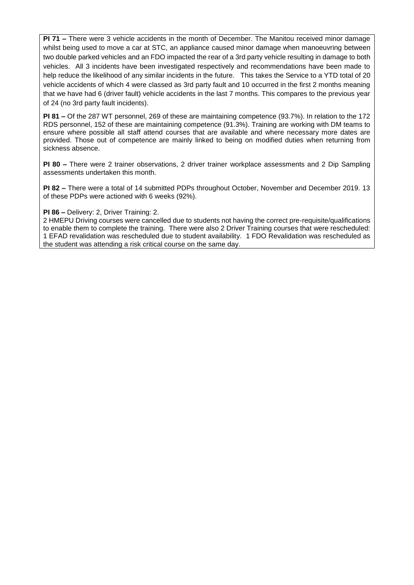**PI 71 –** There were 3 vehicle accidents in the month of December. The Manitou received minor damage whilst being used to move a car at STC, an appliance caused minor damage when manoeuvring between two double parked vehicles and an FDO impacted the rear of a 3rd party vehicle resulting in damage to both vehicles. All 3 incidents have been investigated respectively and recommendations have been made to help reduce the likelihood of any similar incidents in the future. This takes the Service to a YTD total of 20 vehicle accidents of which 4 were classed as 3rd party fault and 10 occurred in the first 2 months meaning that we have had 6 (driver fault) vehicle accidents in the last 7 months. This compares to the previous year of 24 (no 3rd party fault incidents).

**PI 81 –** Of the 287 WT personnel, 269 of these are maintaining competence (93.7%). In relation to the 172 RDS personnel, 152 of these are maintaining competence (91.3%). Training are working with DM teams to ensure where possible all staff attend courses that are available and where necessary more dates are provided. Those out of competence are mainly linked to being on modified duties when returning from sickness absence.

**PI 80 –** There were 2 trainer observations, 2 driver trainer workplace assessments and 2 Dip Sampling assessments undertaken this month.

**PI 82 –** There were a total of 14 submitted PDPs throughout October, November and December 2019. 13 of these PDPs were actioned with 6 weeks (92%).

#### **PI 86 –** Delivery: 2, Driver Training: 2.

2 HMEPU Driving courses were cancelled due to students not having the correct pre-requisite/qualifications to enable them to complete the training. There were also 2 Driver Training courses that were rescheduled: 1 EFAD revalidation was rescheduled due to student availability. 1 FDO Revalidation was rescheduled as the student was attending a risk critical course on the same day.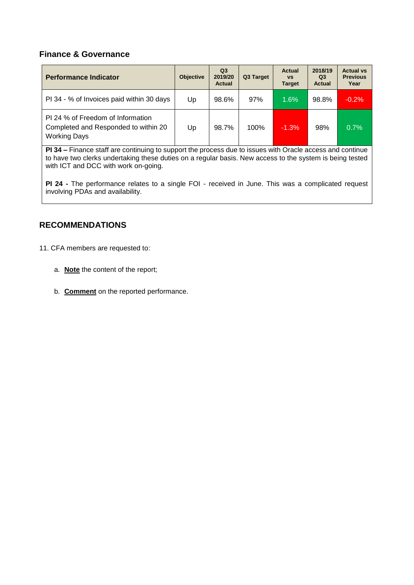#### **Finance & Governance**

| <b>Performance Indicator</b>                                                                     | <b>Objective</b> | Q <sub>3</sub><br>2019/20<br><b>Actual</b> | Q3 Target | <b>Actual</b><br><b>VS</b><br><b>Target</b> | 2018/19<br>Q <sub>3</sub><br><b>Actual</b> | <b>Actual vs</b><br><b>Previous</b><br>Year |
|--------------------------------------------------------------------------------------------------|------------------|--------------------------------------------|-----------|---------------------------------------------|--------------------------------------------|---------------------------------------------|
| PI 34 - % of Invoices paid within 30 days                                                        | Up               | 98.6%                                      | 97%       | 1.6%                                        | 98.8%                                      | $-0.2%$                                     |
| PI 24 % of Freedom of Information<br>Completed and Responded to within 20<br><b>Working Days</b> | Up               | 98.7%                                      | 100%      | $-1.3%$                                     | 98%                                        | 0.7%                                        |

**PI 34 –** Finance staff are continuing to support the process due to issues with Oracle access and continue to have two clerks undertaking these duties on a regular basis. New access to the system is being tested with ICT and DCC with work on-going.

**PI 24 -** The performance relates to a single FOI - received in June. This was a complicated request involving PDAs and availability.

### **RECOMMENDATIONS**

11. CFA members are requested to:

- a. **Note** the content of the report;
- b. **Comment** on the reported performance.